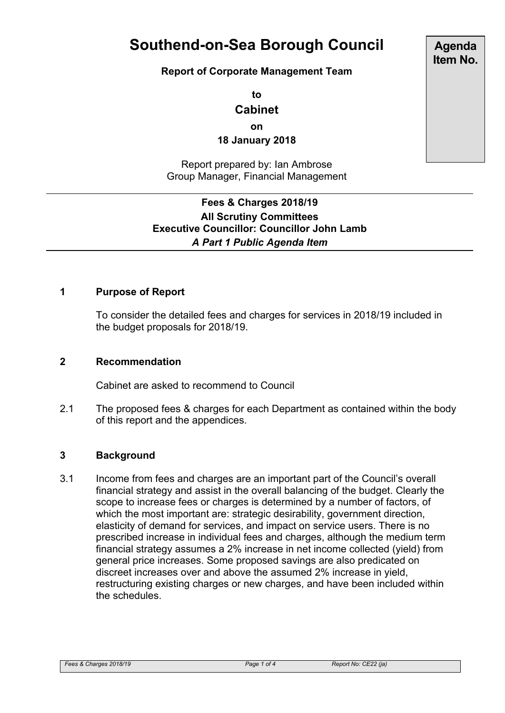# **Southend-on-Sea Borough Council**

#### **Report of Corporate Management Team**

**to**

## **Cabinet**

**on**

**18 January 2018**

Report prepared by: Ian Ambrose Group Manager, Financial Management

### **Fees & Charges 2018/19 All Scrutiny Committees Executive Councillor: Councillor John Lamb** *A Part 1 Public Agenda Item*

#### **1 Purpose of Report**

To consider the detailed fees and charges for services in 2018/19 included in the budget proposals for 2018/19.

#### **2 Recommendation**

Cabinet are asked to recommend to Council

2.1 The proposed fees & charges for each Department as contained within the body of this report and the appendices.

#### **3 Background**

3.1 Income from fees and charges are an important part of the Council's overall financial strategy and assist in the overall balancing of the budget. Clearly the scope to increase fees or charges is determined by a number of factors, of which the most important are: strategic desirability, government direction, elasticity of demand for services, and impact on service users. There is no prescribed increase in individual fees and charges, although the medium term financial strategy assumes a 2% increase in net income collected (yield) from general price increases. Some proposed savings are also predicated on discreet increases over and above the assumed 2% increase in yield, restructuring existing charges or new charges, and have been included within the schedules.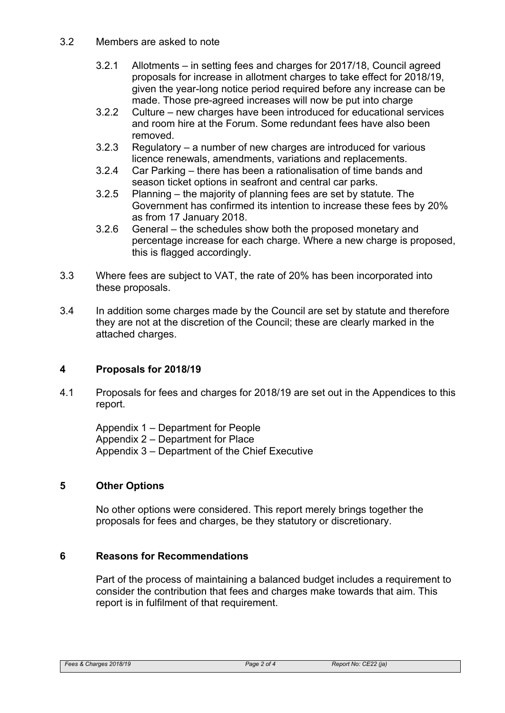#### 3.2 Members are asked to note

- 3.2.1 Allotments in setting fees and charges for 2017/18, Council agreed proposals for increase in allotment charges to take effect for 2018/19, given the year-long notice period required before any increase can be made. Those pre-agreed increases will now be put into charge
- 3.2.2 Culture new charges have been introduced for educational services and room hire at the Forum. Some redundant fees have also been removed.
- 3.2.3 Regulatory a number of new charges are introduced for various licence renewals, amendments, variations and replacements.
- 3.2.4 Car Parking there has been a rationalisation of time bands and season ticket options in seafront and central car parks.
- 3.2.5 Planning the majority of planning fees are set by statute. The Government has confirmed its intention to increase these fees by 20% as from 17 January 2018.
- 3.2.6 General the schedules show both the proposed monetary and percentage increase for each charge. Where a new charge is proposed, this is flagged accordingly.
- 3.3 Where fees are subject to VAT, the rate of 20% has been incorporated into these proposals.
- 3.4 In addition some charges made by the Council are set by statute and therefore they are not at the discretion of the Council; these are clearly marked in the attached charges.

#### **4 Proposals for 2018/19**

4.1 Proposals for fees and charges for 2018/19 are set out in the Appendices to this report.

Appendix 1 – Department for People Appendix 2 – Department for Place Appendix 3 – Department of the Chief Executive

#### **5 Other Options**

No other options were considered. This report merely brings together the proposals for fees and charges, be they statutory or discretionary.

#### **6 Reasons for Recommendations**

Part of the process of maintaining a balanced budget includes a requirement to consider the contribution that fees and charges make towards that aim. This report is in fulfilment of that requirement.

#### *Fees & Charges 2018/19 Page 2 of 4 Report No: CE22 (ja)*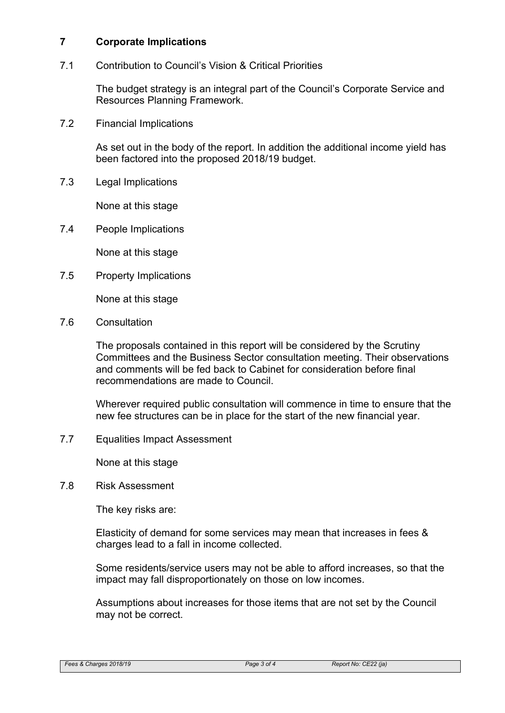#### **7 Corporate Implications**

7.1 Contribution to Council's Vision & Critical Priorities

The budget strategy is an integral part of the Council's Corporate Service and Resources Planning Framework.

7.2 Financial Implications

As set out in the body of the report. In addition the additional income yield has been factored into the proposed 2018/19 budget.

7.3 Legal Implications

None at this stage

7.4 People Implications

None at this stage

7.5 Property Implications

None at this stage

7.6 Consultation

The proposals contained in this report will be considered by the Scrutiny Committees and the Business Sector consultation meeting. Their observations and comments will be fed back to Cabinet for consideration before final recommendations are made to Council.

Wherever required public consultation will commence in time to ensure that the new fee structures can be in place for the start of the new financial year.

7.7 Equalities Impact Assessment

None at this stage

7.8 Risk Assessment

The key risks are:

Elasticity of demand for some services may mean that increases in fees & charges lead to a fall in income collected.

Some residents/service users may not be able to afford increases, so that the impact may fall disproportionately on those on low incomes.

Assumptions about increases for those items that are not set by the Council may not be correct.